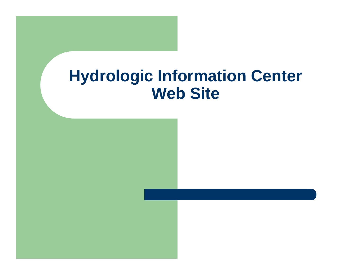### **Hydrologic Information Center Web Site**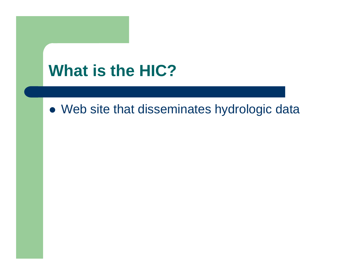## **What is the HIC?**

• Web site that disseminates hydrologic data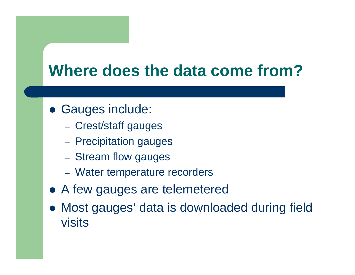### **Where does the data come from?**

- **Gauges include:** 
	- Crest/staff gauges
	- Precipitation gauges
	- Stream flow gauges
	- Water temperature recorders
- A few gauges are telemetered
- $\bullet$  Most gauges' data is downloaded during field visits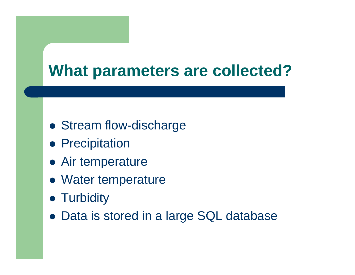### **What parameters are collected?**

- Stream flow-discharge
- **Precipitation**
- Air temperature
- Water temperature
- Turbidity
- Data is stored in a large SQL database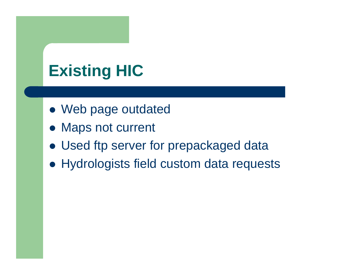# **Existing HIC**

- Web page outdated
- Maps not current
- Used ftp server for prepackaged data
- Hydrologists field custom data requests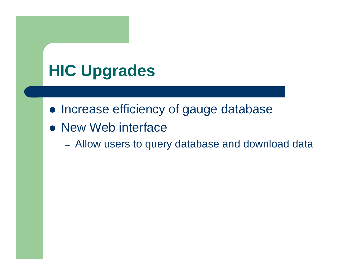# **HIC Upgrades**

- Increase efficiency of gauge database
- New Web interface
	- Allow users to query database and download data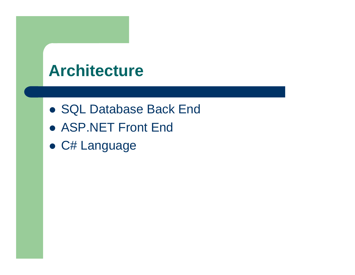### **Architecture**

- **SQL Database Back End**
- **ASP.NET Front End**
- C# Language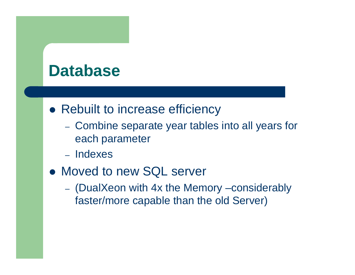### **Database**

- Rebuilt to increase efficiency
	- Combine separate year tables into all years for each parameter
	- Indexes
- Moved to new SQL server
	- (DualXeon with 4x the Memory –considerably faster/more capable than the old Server)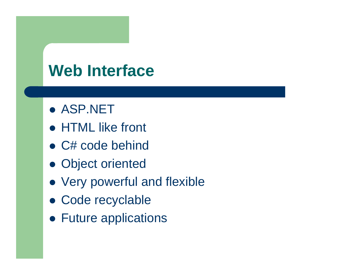### **Web Interface**

- **ASP.NET**
- HTML like front
- C# code behind
- Object oriented
- Very powerful and flexible
- Code recyclable
- Future applications